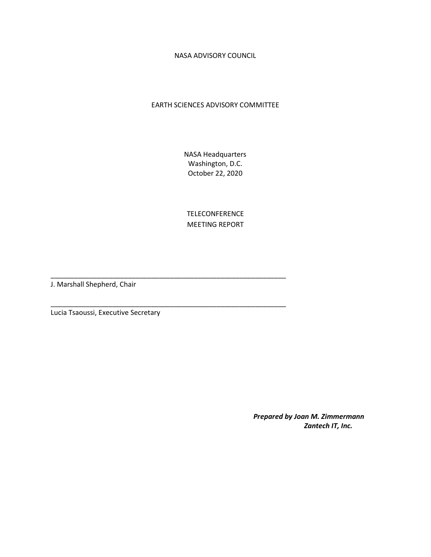NASA ADVISORY COUNCIL

# EARTH SCIENCES ADVISORY COMMITTEE

NASA Headquarters Washington, D.C. October 22, 2020

TELECONFERENCE MEETING REPORT

\_\_\_\_\_\_\_\_\_\_\_\_\_\_\_\_\_\_\_\_\_\_\_\_\_\_\_\_\_\_\_\_\_\_\_\_\_\_\_\_\_\_\_\_\_\_\_\_\_\_\_\_\_\_\_\_\_\_\_\_\_

\_\_\_\_\_\_\_\_\_\_\_\_\_\_\_\_\_\_\_\_\_\_\_\_\_\_\_\_\_\_\_\_\_\_\_\_\_\_\_\_\_\_\_\_\_\_\_\_\_\_\_\_\_\_\_\_\_\_\_\_\_

J. Marshall Shepherd, Chair

Lucia Tsaoussi, Executive Secretary

*Prepared by Joan M. Zimmermann Zantech IT, Inc.*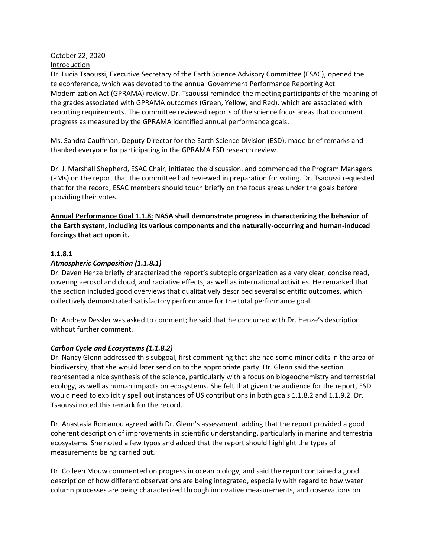#### October 22, 2020 Introduction

Dr. Lucia Tsaoussi, Executive Secretary of the Earth Science Advisory Committee (ESAC), opened the teleconference, which was devoted to the annual Government Performance Reporting Act Modernization Act (GPRAMA) review. Dr. Tsaoussi reminded the meeting participants of the meaning of the grades associated with GPRAMA outcomes (Green, Yellow, and Red), which are associated with reporting requirements. The committee reviewed reports of the science focus areas that document progress as measured by the GPRAMA identified annual performance goals.

Ms. Sandra Cauffman, Deputy Director for the Earth Science Division (ESD), made brief remarks and thanked everyone for participating in the GPRAMA ESD research review.

Dr. J. Marshall Shepherd, ESAC Chair, initiated the discussion, and commended the Program Managers (PMs) on the report that the committee had reviewed in preparation for voting. Dr. Tsaoussi requested that for the record, ESAC members should touch briefly on the focus areas under the goals before providing their votes.

**Annual Performance Goal 1.1.8: NASA shall demonstrate progress in characterizing the behavior of the Earth system, including its various components and the naturally-occurring and human-induced forcings that act upon it.**

## **1.1.8.1**

## *Atmospheric Composition (1.1.8.1)*

Dr. Daven Henze briefly characterized the report's subtopic organization as a very clear, concise read, covering aerosol and cloud, and radiative effects, as well as international activities. He remarked that the section included good overviews that qualitatively described several scientific outcomes, which collectively demonstrated satisfactory performance for the total performance goal.

Dr. Andrew Dessler was asked to comment; he said that he concurred with Dr. Henze's description without further comment.

## *Carbon Cycle and Ecosystems (1.1.8.2)*

Dr. Nancy Glenn addressed this subgoal, first commenting that she had some minor edits in the area of biodiversity, that she would later send on to the appropriate party. Dr. Glenn said the section represented a nice synthesis of the science, particularly with a focus on biogeochemistry and terrestrial ecology, as well as human impacts on ecosystems. She felt that given the audience for the report, ESD would need to explicitly spell out instances of US contributions in both goals 1.1.8.2 and 1.1.9.2. Dr. Tsaoussi noted this remark for the record.

Dr. Anastasia Romanou agreed with Dr. Glenn's assessment, adding that the report provided a good coherent description of improvements in scientific understanding, particularly in marine and terrestrial ecosystems. She noted a few typos and added that the report should highlight the types of measurements being carried out.

Dr. Colleen Mouw commented on progress in ocean biology, and said the report contained a good description of how different observations are being integrated, especially with regard to how water column processes are being characterized through innovative measurements, and observations on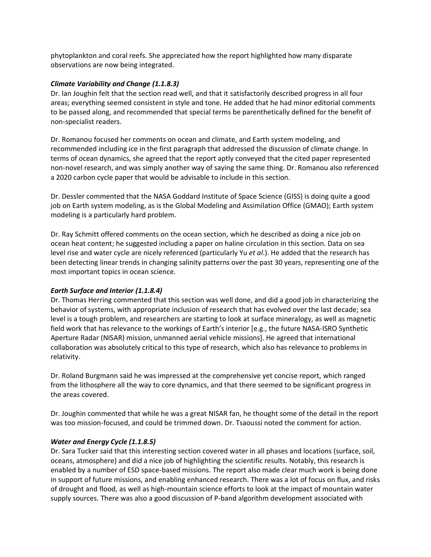phytoplankton and coral reefs. She appreciated how the report highlighted how many disparate observations are now being integrated.

#### *Climate Variability and Change (1.1.8.3)*

Dr. Ian Joughin felt that the section read well, and that it satisfactorily described progress in all four areas; everything seemed consistent in style and tone. He added that he had minor editorial comments to be passed along, and recommended that special terms be parenthetically defined for the benefit of non-specialist readers.

Dr. Romanou focused her comments on ocean and climate, and Earth system modeling, and recommended including ice in the first paragraph that addressed the discussion of climate change. In terms of ocean dynamics, she agreed that the report aptly conveyed that the cited paper represented non-novel research, and was simply another way of saying the same thing. Dr. Romanou also referenced a 2020 carbon cycle paper that would be advisable to include in this section.

Dr. Dessler commented that the NASA Goddard Institute of Space Science (GISS) is doing quite a good job on Earth system modeling, as is the Global Modeling and Assimilation Office (GMAO); Earth system modeling is a particularly hard problem.

Dr. Ray Schmitt offered comments on the ocean section, which he described as doing a nice job on ocean heat content; he suggested including a paper on haline circulation in this section. Data on sea level rise and water cycle are nicely referenced (particularly Yu *et al*.). He added that the research has been detecting linear trends in changing salinity patterns over the past 30 years, representing one of the most important topics in ocean science.

## *Earth Surface and Interior (1.1.8.4)*

Dr. Thomas Herring commented that this section was well done, and did a good job in characterizing the behavior of systems, with appropriate inclusion of research that has evolved over the last decade; sea level is a tough problem, and researchers are starting to look at surface mineralogy, as well as magnetic field work that has relevance to the workings of Earth's interior [e.g., the future NASA-ISRO Synthetic Aperture Radar (NISAR) mission, unmanned aerial vehicle missions]. He agreed that international collaboration was absolutely critical to this type of research, which also has relevance to problems in relativity.

Dr. Roland Burgmann said he was impressed at the comprehensive yet concise report, which ranged from the lithosphere all the way to core dynamics, and that there seemed to be significant progress in the areas covered.

Dr. Joughin commented that while he was a great NISAR fan, he thought some of the detail in the report was too mission-focused, and could be trimmed down. Dr. Tsaoussi noted the comment for action.

#### *Water and Energy Cycle (1.1.8.5)*

Dr. Sara Tucker said that this interesting section covered water in all phases and locations (surface, soil, oceans, atmosphere) and did a nice job of highlighting the scientific results. Notably, this research is enabled by a number of ESD space-based missions. The report also made clear much work is being done in support of future missions, and enabling enhanced research. There was a lot of focus on flux, and risks of drought and flood, as well as high-mountain science efforts to look at the impact of mountain water supply sources. There was also a good discussion of P-band algorithm development associated with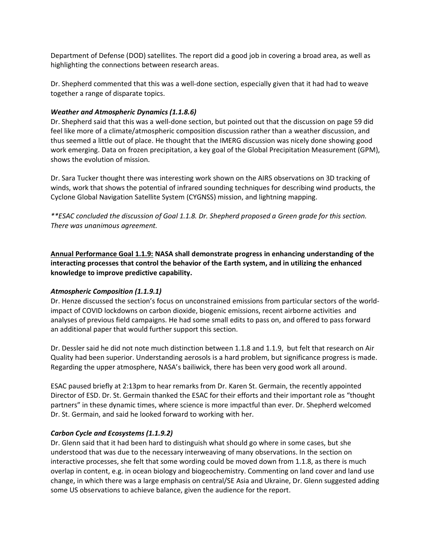Department of Defense (DOD) satellites. The report did a good job in covering a broad area, as well as highlighting the connections between research areas.

Dr. Shepherd commented that this was a well-done section, especially given that it had had to weave together a range of disparate topics.

## *Weather and Atmospheric Dynamics (1.1.8.6)*

Dr. Shepherd said that this was a well-done section, but pointed out that the discussion on page 59 did feel like more of a climate/atmospheric composition discussion rather than a weather discussion, and thus seemed a little out of place. He thought that the IMERG discussion was nicely done showing good work emerging. Data on frozen precipitation, a key goal of the Global Precipitation Measurement (GPM), shows the evolution of mission.

Dr. Sara Tucker thought there was interesting work shown on the AIRS observations on 3D tracking of winds, work that shows the potential of infrared sounding techniques for describing wind products, the Cyclone Global Navigation Satellite System (CYGNSS) mission, and lightning mapping.

*\*\*ESAC concluded the discussion of Goal 1.1.8. Dr. Shepherd proposed a Green grade for this section. There was unanimous agreement.*

**Annual Performance Goal 1.1.9: NASA shall demonstrate progress in enhancing understanding of the interacting processes that control the behavior of the Earth system, and in utilizing the enhanced knowledge to improve predictive capability.**

## *Atmospheric Composition (1.1.9.1)*

Dr. Henze discussed the section's focus on unconstrained emissions from particular sectors of the worldimpact of COVID lockdowns on carbon dioxide, biogenic emissions, recent airborne activities and analyses of previous field campaigns. He had some small edits to pass on, and offered to pass forward an additional paper that would further support this section.

Dr. Dessler said he did not note much distinction between 1.1.8 and 1.1.9, but felt that research on Air Quality had been superior. Understanding aerosols is a hard problem, but significance progress is made. Regarding the upper atmosphere, NASA's bailiwick, there has been very good work all around.

ESAC paused briefly at 2:13pm to hear remarks from Dr. Karen St. Germain, the recently appointed Director of ESD. Dr. St. Germain thanked the ESAC for their efforts and their important role as "thought partners" in these dynamic times, where science is more impactful than ever. Dr. Shepherd welcomed Dr. St. Germain, and said he looked forward to working with her.

## *Carbon Cycle and Ecosystems (1.1.9.2)*

Dr. Glenn said that it had been hard to distinguish what should go where in some cases, but she understood that was due to the necessary interweaving of many observations. In the section on interactive processes, she felt that some wording could be moved down from 1.1.8, as there is much overlap in content, e.g. in ocean biology and biogeochemistry. Commenting on land cover and land use change, in which there was a large emphasis on central/SE Asia and Ukraine, Dr. Glenn suggested adding some US observations to achieve balance, given the audience for the report.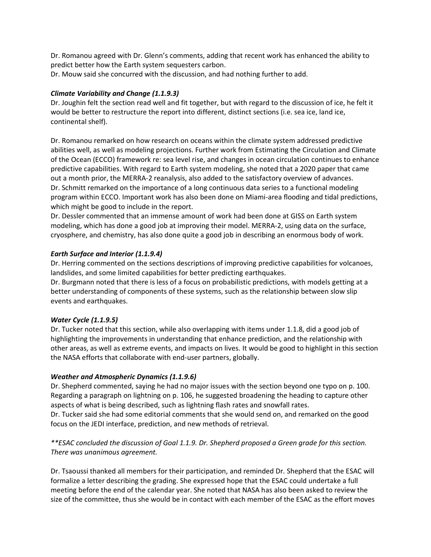Dr. Romanou agreed with Dr. Glenn's comments, adding that recent work has enhanced the ability to predict better how the Earth system sequesters carbon.

Dr. Mouw said she concurred with the discussion, and had nothing further to add.

#### *Climate Variability and Change (1.1.9.3)*

Dr. Joughin felt the section read well and fit together, but with regard to the discussion of ice, he felt it would be better to restructure the report into different, distinct sections (i.e. sea ice, land ice, continental shelf).

Dr. Romanou remarked on how research on oceans within the climate system addressed predictive abilities well, as well as modeling projections. Further work from Estimating the Circulation and Climate of the Ocean (ECCO) framework re: sea level rise, and changes in ocean circulation continues to enhance predictive capabilities. With regard to Earth system modeling, she noted that a 2020 paper that came out a month prior, the MERRA-2 reanalysis, also added to the satisfactory overview of advances. Dr. Schmitt remarked on the importance of a long continuous data series to a functional modeling program within ECCO. Important work has also been done on Miami-area flooding and tidal predictions, which might be good to include in the report.

Dr. Dessler commented that an immense amount of work had been done at GISS on Earth system modeling, which has done a good job at improving their model. MERRA-2, using data on the surface, cryosphere, and chemistry, has also done quite a good job in describing an enormous body of work.

## *Earth Surface and Interior (1.1.9.4)*

Dr. Herring commented on the sections descriptions of improving predictive capabilities for volcanoes, landslides, and some limited capabilities for better predicting earthquakes.

Dr. Burgmann noted that there is less of a focus on probabilistic predictions, with models getting at a better understanding of components of these systems, such as the relationship between slow slip events and earthquakes.

#### *Water Cycle (1.1.9.5)*

Dr. Tucker noted that this section, while also overlapping with items under 1.1.8, did a good job of highlighting the improvements in understanding that enhance prediction, and the relationship with other areas, as well as extreme events, and impacts on lives. It would be good to highlight in this section the NASA efforts that collaborate with end-user partners, globally.

#### *Weather and Atmospheric Dynamics (1.1.9.6)*

focus on the JEDI interface, prediction, and new methods of retrieval.

Dr. Shepherd commented, saying he had no major issues with the section beyond one typo on p. 100. Regarding a paragraph on lightning on p. 106, he suggested broadening the heading to capture other aspects of what is being described, such as lightning flash rates and snowfall rates. Dr. Tucker said she had some editorial comments that she would send on, and remarked on the good

# *\*\*ESAC concluded the discussion of Goal 1.1.9. Dr. Shepherd proposed a Green grade for this section. There was unanimous agreement.*

Dr. Tsaoussi thanked all members for their participation, and reminded Dr. Shepherd that the ESAC will formalize a letter describing the grading. She expressed hope that the ESAC could undertake a full meeting before the end of the calendar year. She noted that NASA has also been asked to review the size of the committee, thus she would be in contact with each member of the ESAC as the effort moves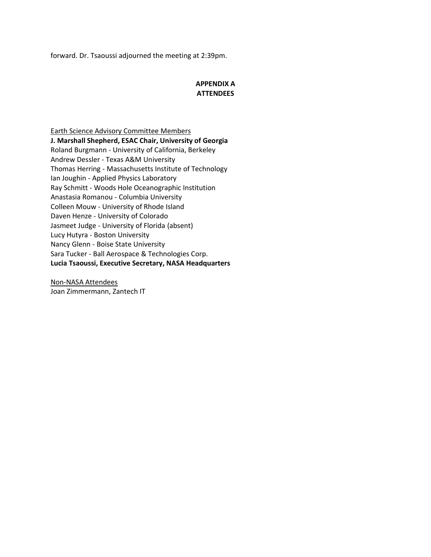forward. Dr. Tsaoussi adjourned the meeting at 2:39pm.

# **APPENDIX A ATTENDEES**

Earth Science Advisory Committee Members **J. Marshall Shepherd, ESAC Chair, University of Georgia**  Roland Burgmann - University of California, Berkeley Andrew Dessler - Texas A&M University Thomas Herring - Massachusetts Institute of Technology Ian Joughin - Applied Physics Laboratory Ray Schmitt - Woods Hole Oceanographic Institution Anastasia Romanou - Columbia University Colleen Mouw - University of Rhode Island Daven Henze - University of Colorado Jasmeet Judge - University of Florida (absent) Lucy Hutyra - Boston University Nancy Glenn - Boise State University Sara Tucker - Ball Aerospace & Technologies Corp. **Lucia Tsaoussi, Executive Secretary, NASA Headquarters**

Non-NASA Attendees Joan Zimmermann, Zantech IT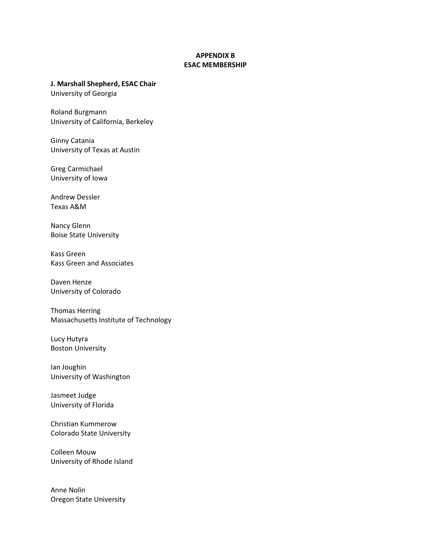#### **APPENDIX B ESAC MEMBERSHIP**

**J. Marshall Shepherd, ESAC Chair**

University of Georgia

Roland Burgmann University of California, Berkeley

Ginny Catania University of Texas at Austin

Greg Carmichael University of Iowa

Andrew Dessler Texas A&M

Nancy Glenn Boise State University

Kass Green Kass Green and Associates

Daven Henze University of Colorado

Thomas Herring Massachusetts Institute of Technology

Lucy Hutyra Boston University

Ian Joughin University of Washington

Jasmeet Judge University of Florida

Christian Kummerow Colorado State University

Colleen Mouw University of Rhode Island

Anne Nolin Oregon State University